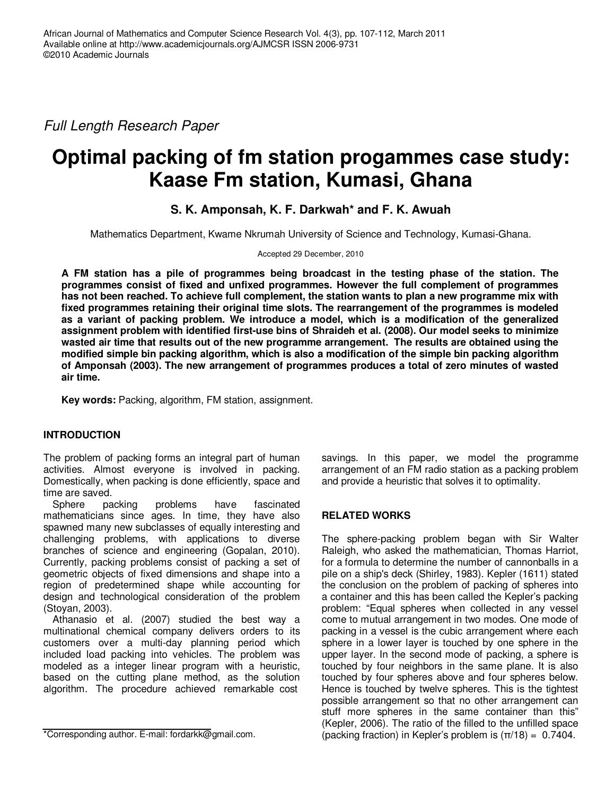Full Length Research Paper

# **Optimal packing of fm station progammes case study: Kaase Fm station, Kumasi, Ghana**

# **S. K. Amponsah, K. F. Darkwah\* and F. K. Awuah**

Mathematics Department, Kwame Nkrumah University of Science and Technology, Kumasi-Ghana.

Accepted 29 December, 2010

**A FM station has a pile of programmes being broadcast in the testing phase of the station. The programmes consist of fixed and unfixed programmes. However the full complement of programmes has not been reached. To achieve full complement, the station wants to plan a new programme mix with fixed programmes retaining their original time slots. The rearrangement of the programmes is modeled as a variant of packing problem. We introduce a model, which is a modification of the generalized assignment problem with identified first-use bins of Shraideh et al. (2008). Our model seeks to minimize wasted air time that results out of the new programme arrangement. The results are obtained using the modified simple bin packing algorithm, which is also a modification of the simple bin packing algorithm of Amponsah (2003). The new arrangement of programmes produces a total of zero minutes of wasted air time.** 

**Key words:** Packing, algorithm, FM station, assignment.

### **INTRODUCTION**

The problem of packing forms an integral part of human activities. Almost everyone is involved in packing. Domestically, when packing is done efficiently, space and time are saved.

Sphere packing problems have fascinated mathematicians since ages. In time, they have also spawned many new subclasses of equally interesting and challenging problems, with applications to diverse branches of science and engineering (Gopalan, 2010). Currently, packing problems consist of packing a set of geometric objects of fixed dimensions and shape into a region of predetermined shape while accounting for design and technological consideration of the problem (Stoyan, 2003).

Athanasio et al. (2007) studied the best way a multinational chemical company delivers orders to its customers over a multi-day planning period which included load packing into vehicles. The problem was modeled as a integer linear program with a heuristic, based on the cutting plane method, as the solution algorithm. The procedure achieved remarkable cost

\*Corresponding author. E-mail: fordarkk@gmail.com.

savings. In this paper, we model the programme arrangement of an FM radio station as a packing problem and provide a heuristic that solves it to optimality.

### **RELATED WORKS**

The sphere-packing problem began with Sir Walter Raleigh, who asked the mathematician, Thomas Harriot, for a formula to determine the number of cannonballs in a pile on a ship's deck (Shirley, 1983). Kepler (1611) stated the conclusion on the problem of packing of spheres into a container and this has been called the Kepler's packing problem: "Equal spheres when collected in any vessel come to mutual arrangement in two modes. One mode of packing in a vessel is the cubic arrangement where each sphere in a lower layer is touched by one sphere in the upper layer. In the second mode of packing, a sphere is touched by four neighbors in the same plane. It is also touched by four spheres above and four spheres below. Hence is touched by twelve spheres. This is the tightest possible arrangement so that no other arrangement can stuff more spheres in the same container than this" (Kepler, 2006). The ratio of the filled to the unfilled space (packing fraction) in Kepler's problem is  $(\pi/18) = 0.7404$ .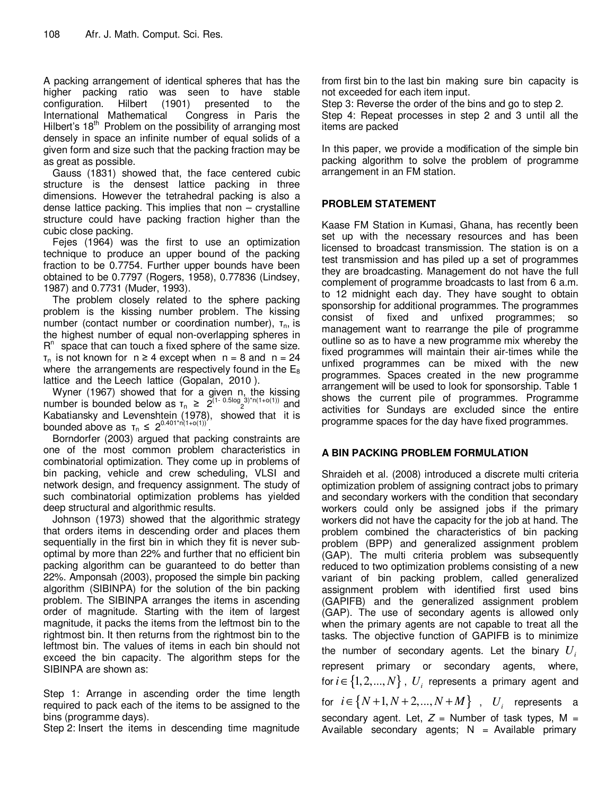A packing arrangement of identical spheres that has the higher packing ratio was seen to have stable<br>configuration. Hilbert (1901) presented to the configuration. Hilbert (1901) presented to the International Mathematical Congress in Paris the Hilbert's  $18<sup>th</sup>$  Problem on the possibility of arranging most densely in space an infinite number of equal solids of a given form and size such that the packing fraction may be as great as possible.

Gauss (1831) showed that, the face centered cubic structure is the densest lattice packing in three dimensions. However the tetrahedral packing is also a dense lattice packing. This implies that non – crystalline structure could have packing fraction higher than the cubic close packing.

Fejes (1964) was the first to use an optimization technique to produce an upper bound of the packing fraction to be 0.7754. Further upper bounds have been obtained to be 0.7797 (Rogers, 1958), 0.77836 (Lindsey, 1987) and 0.7731 (Muder, 1993).

The problem closely related to the sphere packing problem is the kissing number problem. The kissing number (contact number or coordination number),  $τ_n$ , is the highest number of equal non-overlapping spheres in  $R<sup>n</sup>$  space that can touch a fixed sphere of the same size.  $\tau_n$  is not known for  $n \ge 4$  except when  $n = 8$  and  $n = 24$ where the arrangements are respectively found in the  $E_8$ lattice and the Leech lattice (Gopalan, 2010 ).

Wyner (1967) showed that for a given n, the kissing number is bounded below as  $\tau_n \geq 2^{(1-\theta.5\log_2 3)^*n(1+o(1))}$  and Kabatiansky and Levenshtein (1978), showed that it is bounded above as  $\tau_n \leq 2^{0.401 \cdot n(1+o(1))'}$ .

Borndorfer (2003) argued that packing constraints are one of the most common problem characteristics in combinatorial optimization. They come up in problems of bin packing, vehicle and crew scheduling, VLSI and network design, and frequency assignment. The study of such combinatorial optimization problems has yielded deep structural and algorithmic results.

Johnson (1973) showed that the algorithmic strategy that orders items in descending order and places them sequentially in the first bin in which they fit is never suboptimal by more than 22% and further that no efficient bin packing algorithm can be guaranteed to do better than 22%. Amponsah (2003), proposed the simple bin packing algorithm (SIBINPA) for the solution of the bin packing problem. The SIBINPA arranges the items in ascending order of magnitude. Starting with the item of largest magnitude, it packs the items from the leftmost bin to the rightmost bin. It then returns from the rightmost bin to the leftmost bin. The values of items in each bin should not exceed the bin capacity. The algorithm steps for the SIBINPA are shown as:

Step 1: Arrange in ascending order the time length required to pack each of the items to be assigned to the bins (programme days).

Step 2: Insert the items in descending time magnitude

from first bin to the last bin making sure bin capacity is not exceeded for each item input.

Step 3: Reverse the order of the bins and go to step 2.

Step 4: Repeat processes in step 2 and 3 until all the items are packed

In this paper, we provide a modification of the simple bin packing algorithm to solve the problem of programme arrangement in an FM station.

# **PROBLEM STATEMENT**

Kaase FM Station in Kumasi, Ghana, has recently been set up with the necessary resources and has been licensed to broadcast transmission. The station is on a test transmission and has piled up a set of programmes they are broadcasting. Management do not have the full complement of programme broadcasts to last from 6 a.m. to 12 midnight each day. They have sought to obtain sponsorship for additional programmes. The programmes consist of fixed and unfixed programmes; so management want to rearrange the pile of programme outline so as to have a new programme mix whereby the fixed programmes will maintain their air-times while the unfixed programmes can be mixed with the new programmes. Spaces created in the new programme arrangement will be used to look for sponsorship. Table 1 shows the current pile of programmes. Programme activities for Sundays are excluded since the entire programme spaces for the day have fixed programmes.

# **A BIN PACKING PROBLEM FORMULATION**

Shraideh et al. (2008) introduced a discrete multi criteria optimization problem of assigning contract jobs to primary and secondary workers with the condition that secondary workers could only be assigned jobs if the primary workers did not have the capacity for the job at hand. The problem combined the characteristics of bin packing problem (BPP) and generalized assignment problem (GAP). The multi criteria problem was subsequently reduced to two optimization problems consisting of a new variant of bin packing problem, called generalized assignment problem with identified first used bins (GAPIFB) and the generalized assignment problem (GAP). The use of secondary agents is allowed only when the primary agents are not capable to treat all the tasks. The objective function of GAPIFB is to minimize the number of secondary agents. Let the binary *U<sup>i</sup>* represent primary or secondary agents, where, for  $i \!\in\! \{1,2,...,N\}$  ,  $\,U_{\,i}\,$  represents a primary agent and for  $i \in \{N+1, N+2, ..., N+M\}$ ,  $U_i$  represents a secondary agent. Let,  $Z =$  Number of task types, M = Available secondary agents;  $N =$  Available primary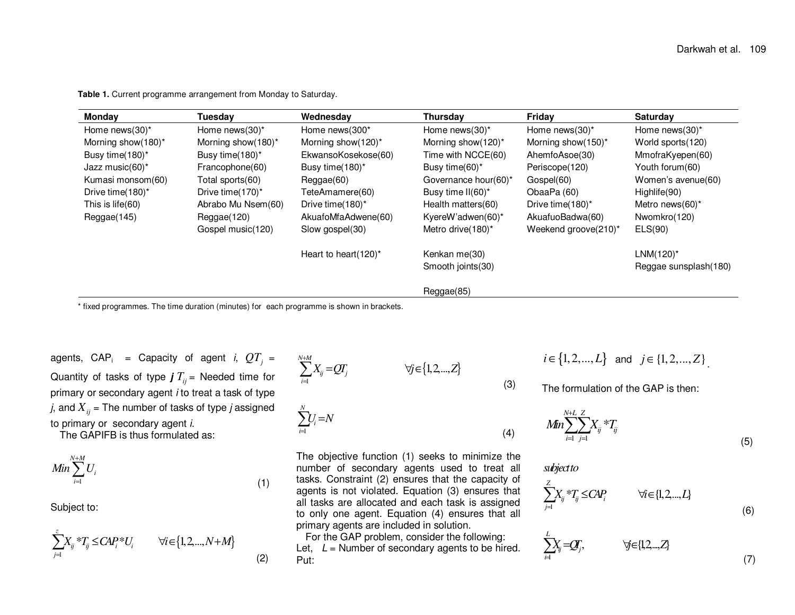|  |  |  | Table 1. Current programme arrangement from Monday to Saturday. |
|--|--|--|-----------------------------------------------------------------|
|--|--|--|-----------------------------------------------------------------|

| Monday              | Tuesdav            | Wednesday                | Thursday              | Friday               | <b>Saturday</b>       |
|---------------------|--------------------|--------------------------|-----------------------|----------------------|-----------------------|
| Home news(30)*      | Home news(30)*     | Home news (300*          | Home news $(30)^*$    | Home news $(30)^*$   | Home news $(30)^*$    |
| Morning show(180)*  | Morning show(180)* | Morning show(120)*       | Morning show(120)*    | Morning show(150)*   | World sports (120)    |
| Busy time (180)*    | Busy time(180)*    | EkwansoKosekose(60)      | Time with NCCE(60)    | AhemfoAsoe(30)       | MmofraKyepen(60)      |
| Jazz music $(60)^*$ | Francophone(60)    | Busy time(180)*          | Busy time(60)*        | Periscope(120)       | Youth forum(60)       |
| Kumasi monsom(60)   | Total sports(60)   | Reggae(60)               | Governance hour(60)*  | Gospel(60)           | Women's avenue(60)    |
| Drive time(180)*    | Drive time (170)*  | TeteAmamere(60)          | Busy time $II(60)^*$  | ObaaPa (60)          | Highlife(90)          |
| This is life(60)    | Abrabo Mu Nsem(60) | Drive time(180)*         | Health matters(60)    | Drive time(180)*     | Metro news $(60)^*$   |
| Reggae(145)         | Reggae(120)        | AkuafoMfaAdwene(60)      | KyereW'adwen $(60)^*$ | AkuafuoBadwa(60)     | Nwomkro(120)          |
|                     | Gospel music(120)  | Slow gospel(30)          | Metro drive (180)*    | Weekend groove(210)* | ELS(90)               |
|                     |                    | Heart to heart $(120)^*$ | Kenkan me(30)         |                      | $LMM(120)^*$          |
|                     |                    |                          | Smooth joints (30)    |                      | Reggae sunsplash(180) |
|                     |                    |                          | Reggae(85)            |                      |                       |

\* fixed programmes. The time duration (minutes) for each programme is shown in brackets.

(2)

agents,  $\mathsf{CAP}_\mathsf{i}$  = Capacity of agent *i*,  $QT_{_f}$  = Quantity of tasks of type **j** *<sup>T</sup>ij* = Needed time for primary or secondary agent *i* to treat a task of type  $j$ , and  $\overline{X}_{ij}$  = The number of tasks of type  $j$  assigned to primary or secondary agent i.

The GAPIFB is thus formulated as:

$$
Min \sum_{i=1}^{N+M} U_i \tag{1}
$$

Subject to:

$$
\sum_{j=1}^{z} X_{ij} * T_{ij} \le CAP_i * U_i \qquad \forall i \in \{1, 2, \dots, N+M\}
$$
\n(2)

$$
\sum_{i=1}^{N+M} X_{ij} = QT_j \qquad \forall j \in \{1, 2, \dots, Z\}
$$
\n
$$
\sum_{i=1}^{N} U_i = N
$$

*i*

The objective function (1) seeks to minimize the number of secondary agents used to treat all tasks. Constraint (2) ensures that the capacity of agents is not violated. Equation (3) ensures that all tasks are allocated and each task is assigned to only one agent. Equation (4) ensures that all primary agents are included in solution.

 For the GAP problem, consider the following: Let,  $L =$  Number of secondary agents to be hired. Put:

$$
i \in \{1, 2, ..., L\}
$$
 and  $j \in \{1, 2, ..., Z\}$ 

The formulation of the GAP is then:

$$
Min \sum_{i=1}^{N+L} \sum_{j=1}^{Z} X_{ij} * T_{ij}
$$
\n(5)

*subjectto*

(3)

(4)

$$
\sum_{j=1}^{Z} X_{ij} * T_j \leq CAP_i \qquad \forall i \in \{1, 2, ..., L\}
$$

$$
\sum_{i=1}^{L} X_{ij} = QY_{j}, \qquad \forall j \in \{1, 2, \ldots, Z\}
$$
\n
$$
(7)
$$

(6)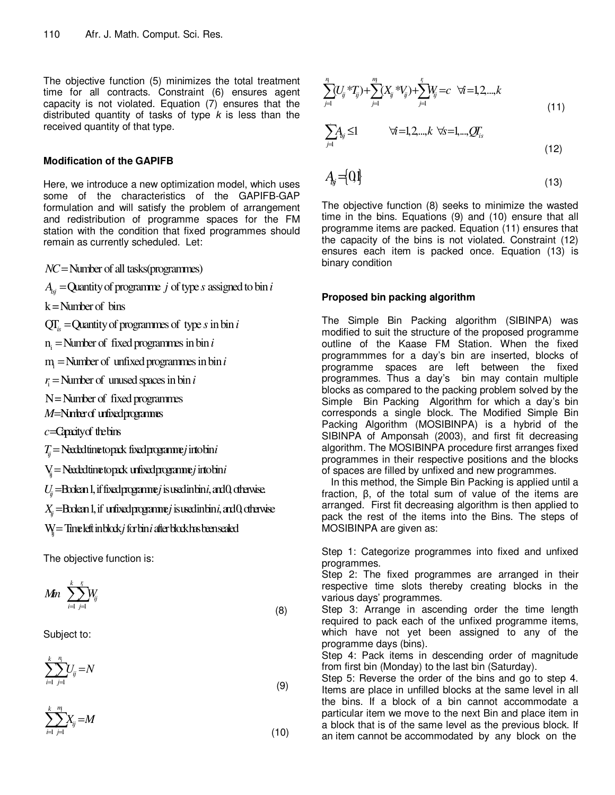The objective function (5) minimizes the total treatment time for all contracts. Constraint (6) ensures agent capacity is not violated. Equation (7) ensures that the distributed quantity of tasks of type  $k$  is less than the received quantity of that type.

#### **Modification of the GAPIFB**

Here, we introduce a new optimization model, which uses some of the characteristics of the GAPIFB-GAP formulation and will satisfy the problem of arrangement and redistribution of programme spaces for the FM station with the condition that fixed programmes should remain as currently scheduled. Let:

*NC* = Number of all tasks(programmes)

 $A_{ij}$  = Quantity of programme  $j$  of type  $s$  assigned to bin  $i$ 

 $k =$  Number of bins

 $QT_s = Q$ uantity of programmes of type *s* in bin *i* 

 $n_i$  = Number of fixed programmes in bin  $i$ 

 $m_i$  = Number of unfixed programmes in bin  $i$ 

 $r_i$  = Number of unused spaces in bin *i* 

 $N =$  Number of fixed programmes

*M*=Ninterof unfixed programmes

c=Capacity of the bins

 $T_{ij}$  = Needed time to pack fixed programme *j* into bin *i* 

V<sub>ij</sub> = Needed time to pack unfixed programme *j* into bin *i* 

 $U_j =$ **Bolean 1, if fixed programe** *j* is used in bin *i*, and 0, otherwise.

 $X_{ij}$  = $\frac{1}{2}$  = $\frac{1}{2}$  for  $\frac{1}{2}$  if  $\frac{1}{2}$  in  $\frac{1}{2}$  is used in bin *i*, and 0, otherwise

**W** = Time left in block *j* for bin *i* after block has been sealed

The objective function is:

$$
Mn \sum_{i=1}^{k} \sum_{j=1}^{r_i} W_{ij}
$$
\n(8)

Subject to:

$$
\sum_{i=1}^{k} \sum_{j=1}^{n_i} U_{ij} = N \tag{9}
$$

$$
\sum_{i=1}^{k} \sum_{j=1}^{m_i} X_{ij} = M \tag{10}
$$

$$
\sum_{j=1}^{n} (U_{ij}^* \cdot T_{ij}) + \sum_{j=1}^{n} (X_{ij}^* \cdot V_{ij}) + \sum_{j=1}^{n} W_{ij} = c \quad \forall i = 1, 2, \dots, k \tag{11}
$$

$$
\sum_{j=1}^{n} A_{kj} \leq 1 \qquad \forall i = 1, 2, \dots, k \quad \forall s = 1, \dots, QT_{is}
$$
\n
$$
(12)
$$

$$
A_{\rm ij} = \{0\} \tag{13}
$$

The objective function (8) seeks to minimize the wasted time in the bins. Equations (9) and (10) ensure that all programme items are packed. Equation (11) ensures that the capacity of the bins is not violated. Constraint (12) ensures each item is packed once. Equation (13) is binary condition

## **Proposed bin packing algorithm**

The Simple Bin Packing algorithm (SIBINPA) was modified to suit the structure of the proposed programme outline of the Kaase FM Station. When the fixed programmmes for a day's bin are inserted, blocks of programme spaces are left between the fixed programmes. Thus a day's bin may contain multiple blocks as compared to the packing problem solved by the Simple Bin Packing Algorithm for which a day's bin corresponds a single block. The Modified Simple Bin Packing Algorithm (MOSIBINPA) is a hybrid of the SIBINPA of Amponsah (2003), and first fit decreasing algorithm. The MOSIBINPA procedure first arranges fixed programmes in their respective positions and the blocks of spaces are filled by unfixed and new programmes.

In this method, the Simple Bin Packing is applied until a fraction, β, of the total sum of value of the items are arranged. First fit decreasing algorithm is then applied to pack the rest of the items into the Bins. The steps of MOSIBINPA are given as:

Step 1: Categorize programmes into fixed and unfixed programmes.

Step 2: The fixed programmes are arranged in their respective time slots thereby creating blocks in the various days' programmes.

Step 3: Arrange in ascending order the time length required to pack each of the unfixed programme items, which have not yet been assigned to any of the programme days (bins).

Step 4: Pack items in descending order of magnitude from first bin (Monday) to the last bin (Saturday).

Step 5: Reverse the order of the bins and go to step 4. Items are place in unfilled blocks at the same level in all the bins. If a block of a bin cannot accommodate a particular item we move to the next Bin and place item in a block that is of the same level as the previous block. If an item cannot be accommodated by any block on the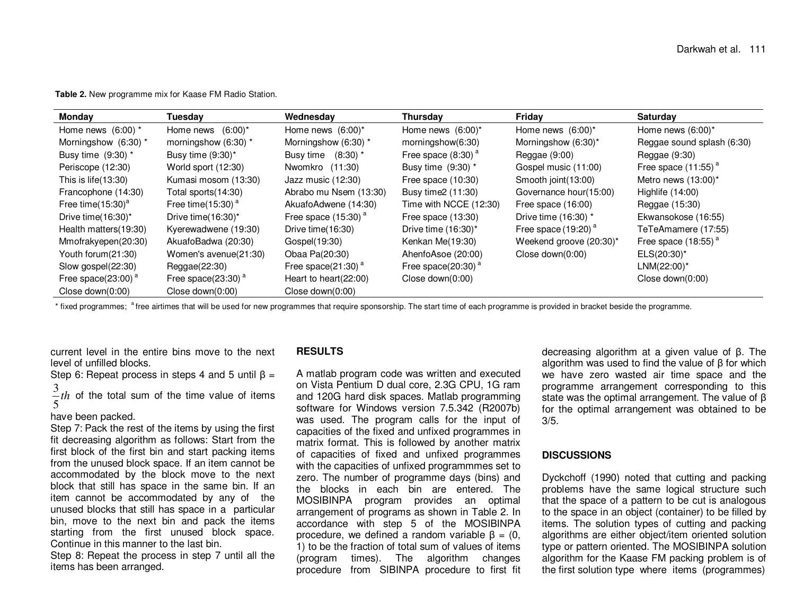**Table 2.** New programme mix for Kaase FM Radio Station.

| Monday                | Tuesdav                 | Wednesday                | <b>Thursday</b>                  | Friday                  | <b>Saturday</b>            |
|-----------------------|-------------------------|--------------------------|----------------------------------|-------------------------|----------------------------|
| Home news $(6:00)$ *  | Home news $(6:00)^*$    | Home news $(6:00)^*$     | Home news $(6:00)^*$             | Home news $(6:00)^*$    | Home news $(6:00)^*$       |
| Morningshow (6:30) *  | morningshow (6:30) *    | Morningshow (6:30) *     | morningshow(6:30)                | Morningshow (6:30)*     | Reggae sound splash (6:30) |
| Busy time (9:30) *    | Busy time $(9:30)^*$    | Busy time $(8:30)$ *     | Free space $(8:30)$ <sup>a</sup> | Reggae $(9:00)$         | Reggae $(9:30)$            |
| Periscope (12:30)     | World sport (12:30)     | Nwomkro (11:30)          | Busy time $(9:30)$ *             | Gospel music (11:00)    | Free space $(11:55)^{a}$   |
| This is $life(13:30)$ | Kumasi mosom (13:30)    | Jazz music (12:30)       | Free space $(10:30)$             | Smooth joint (13:00)    | Metro news $(13:00)^*$     |
| Francophone (14:30)   | Total sports(14:30)     | Abrabo mu Nsem (13:30)   | Busy time 2 (11:30)              | Governance hour(15:00)  | Highlife (14:00)           |
| Free time $(15:30)^a$ | Free time $(15:30)^{a}$ | AkuafoAdwene (14:30)     | Time with NCCE (12:30)           | Free space $(16:00)$    | Reggae (15:30)             |
| Drive time(16:30)*    | Drive time $(16:30)^*$  | Free space $(15:30)^{a}$ | Free space (13:30)               | Drive time (16:30) *    | Ekwansokose (16:55)        |
| Health matters(19:30) | Kyerewadwene (19:30)    | Drive time (16:30)       | Drive time $(16:30)^*$           | Free space $(19:20)^a$  | TeTeAmamere (17:55)        |
| Mmofrakyepen(20:30)   | AkuafoBadwa (20:30)     | Gospel(19:30)            | Kenkan Me(19:30)                 | Weekend groove (20:30)* | Free space $(18:55)^{a}$   |
| Youth forum(21:30)    | Women's avenue(21:30)   | Obaa Pa(20:30)           | AhenfoAsoe (20:00)               | Close down $(0:00)$     | $ELS(20:30)^*$             |
| Slow gospel(22:30)    | Reggae(22:30)           | Free space(21:30) $a$    | Free space(20:30) $a$            |                         | $LMM(22:00)^*$             |
| Free space(23:00) $a$ | Free space(23:30) $a$   | Heart to heart $(22:00)$ | Close down(0:00)                 |                         | Close down(0:00)           |
| Close down(0:00)      | Close down $(0:00)$     | Close down(0:00)         |                                  |                         |                            |

\* fixed programmes; <sup>a</sup>free airtimes that will be used for new programmes that require sponsorship. The start time of each programme is provided in bracket beside the programme.

current level in the entire bins move to the next level of unfilled blocks.

Step 6: Repeat process in steps 4 and 5 until  $\beta =$ 

 $\frac{3}{5}$ *th* of the total sum of the time value of items

have been packed.

 Step 7: Pack the rest of the items by using the first fit decreasing algorithm as follows: Start from the first block of the first bin and start packing items from the unused block space. If an item cannot be accommodated by the block move to the next block that still has space in the same bin. If an item cannot be accommodated by any of the unused blocks that still has space in a particular bin, move to the next bin and pack the items starting from the first unused block space. Continue in this manner to the last bin.

 Step 8: Repeat the process in step 7 until all the items has been arranged.

#### **RESULTS**

A matlab program code was written and executed on Vista Pentium D dual core, 2.3G CPU, 1G ram and 120G hard disk spaces. Matlab programming software for Windows version 7.5.342 (R2007b) was used. The program calls for the input of capacities of the fixed and unfixed programmes in matrix format. This is followed by another matrix of capacities of fixed and unfixed programmes with the capacities of unfixed programmmes set to zero. The number of programme days (bins) and the blocks in each bin are entered. The MOSIBINPA program provides an optimal arrangement of programs as shown in Table 2. In accordance with step 5 of the MOSIBINPA procedure, we defined a random variable  $β = (0,$  1) to be the fraction of total sum of values of items (program times). The algorithm changes procedure from SIBINPA procedure to first fit

decreasing algorithm at a given value of β. The algorithm was used to find the value of β for which we have zero wasted air time space and the programme arrangement corresponding to this state was the optimal arrangement. The value of β for the optimal arrangement was obtained to be 3/5.

#### **DISCUSSIONS**

Dyckchoff (1990) noted that cutting and packing problems have the same logical structure such that the space of a pattern to be cut is analogous to the space in an object (container) to be filled by items. The solution types of cutting and packing algorithms are either object/item oriented solution type or pattern oriented. The MOSIBINPA solution algorithm for the Kaase FM packing problem is of the first solution type where items (programmes)